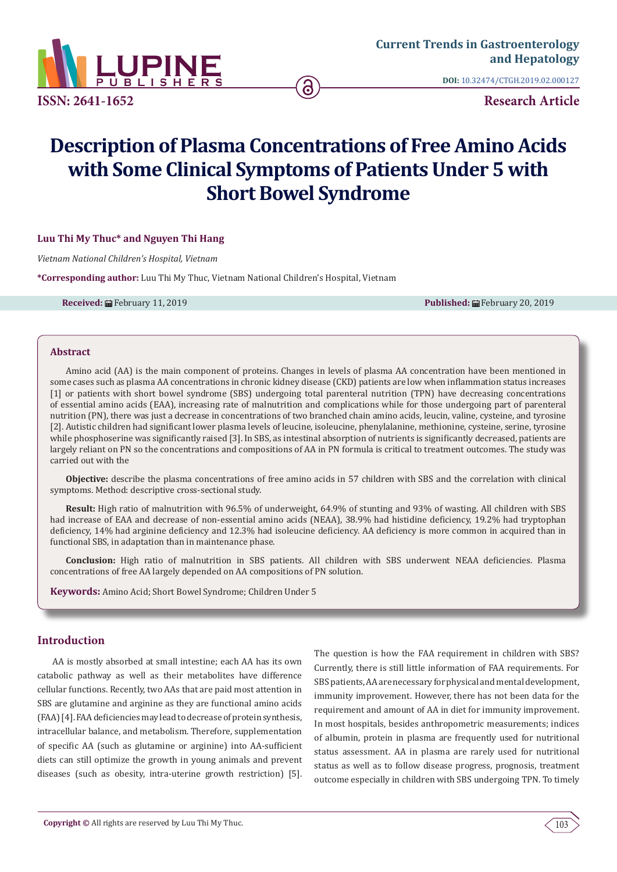

**DOI:** [10.32474/CTGH.2019.02.000127](http://dx.doi.org/10.32474/CTGH.2019.02.000127)

**Research Article**

# **Description of Plasma Concentrations of Free Amino Acids with Some Clinical Symptoms of Patients Under 5 with Short Bowel Syndrome**

## **Luu Thi My Thuc\* and Nguyen Thi Hang**

*Vietnam National Children's Hospital, Vietnam*

**\*Corresponding author:** Luu Thi My Thuc, Vietnam National Children's Hospital, Vietnam

**Received:** February 11, 2019 **Published:** February 20, 2019

#### **Abstract**

Amino acid (AA) is the main component of proteins. Changes in levels of plasma AA concentration have been mentioned in some cases such as plasma AA concentrations in chronic kidney disease (CKD) patients are low when inflammation status increases [1] or patients with short bowel syndrome (SBS) undergoing total parenteral nutrition (TPN) have decreasing concentrations of essential amino acids (EAA), increasing rate of malnutrition and complications while for those undergoing part of parenteral nutrition (PN), there was just a decrease in concentrations of two branched chain amino acids, leucin, valine, cysteine, and tyrosine [2]. Autistic children had significant lower plasma levels of leucine, isoleucine, phenylalanine, methionine, cysteine, serine, tyrosine while phosphoserine was significantly raised [3]. In SBS, as intestinal absorption of nutrients is significantly decreased, patients are largely reliant on PN so the concentrations and compositions of AA in PN formula is critical to treatment outcomes. The study was carried out with the

**Objective:** describe the plasma concentrations of free amino acids in 57 children with SBS and the correlation with clinical symptoms. Method: descriptive cross-sectional study.

**Result:** High ratio of malnutrition with 96.5% of underweight, 64.9% of stunting and 93% of wasting. All children with SBS had increase of EAA and decrease of non-essential amino acids (NEAA), 38.9% had histidine deficiency, 19.2% had tryptophan deficiency, 14% had arginine deficiency and 12.3% had isoleucine deficiency. AA deficiency is more common in acquired than in functional SBS, in adaptation than in maintenance phase.

**Conclusion:** High ratio of malnutrition in SBS patients. All children with SBS underwent NEAA deficiencies. Plasma concentrations of free AA largely depended on AA compositions of PN solution.

**Keywords:** Amino Acid; Short Bowel Syndrome; Children Under 5

## **Introduction**

AA is mostly absorbed at small intestine; each AA has its own catabolic pathway as well as their metabolites have difference cellular functions. Recently, two AAs that are paid most attention in SBS are glutamine and arginine as they are functional amino acids (FAA) [4]. FAA deficiencies may lead to decrease of protein synthesis, intracellular balance, and metabolism. Therefore, supplementation of specific AA (such as glutamine or arginine) into AA-sufficient diets can still optimize the growth in young animals and prevent diseases (such as obesity, intra-uterine growth restriction) [5].

The question is how the FAA requirement in children with SBS? Currently, there is still little information of FAA requirements. For SBS patients, AA are necessary for physical and mental development, immunity improvement. However, there has not been data for the requirement and amount of AA in diet for immunity improvement. In most hospitals, besides anthropometric measurements; indices of albumin, protein in plasma are frequently used for nutritional status assessment. AA in plasma are rarely used for nutritional status as well as to follow disease progress, prognosis, treatment outcome especially in children with SBS undergoing TPN. To timely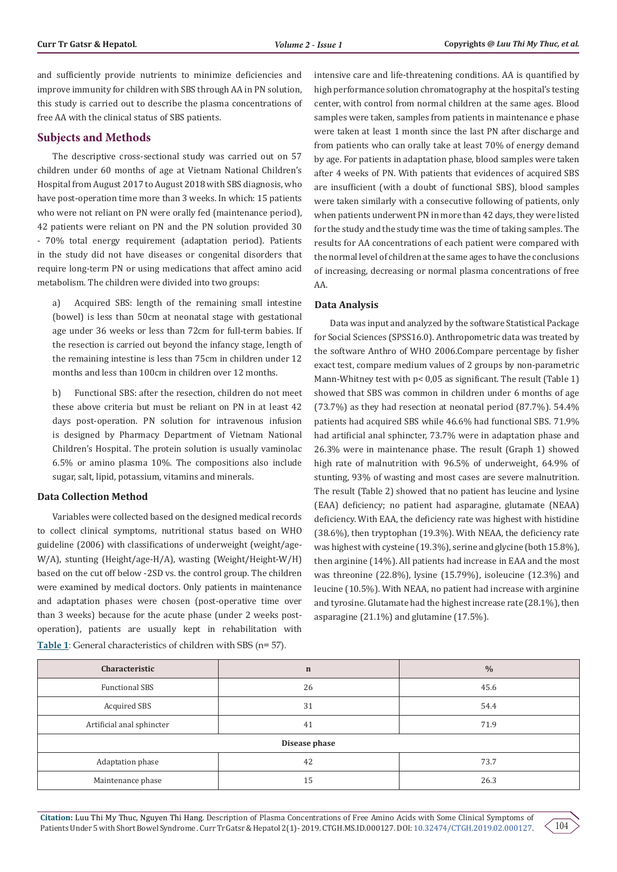and sufficiently provide nutrients to minimize deficiencies and improve immunity for children with SBS through AA in PN solution, this study is carried out to describe the plasma concentrations of free AA with the clinical status of SBS patients.

## **Subjects and Methods**

The descriptive cross-sectional study was carried out on 57 children under 60 months of age at Vietnam National Children's Hospital from August 2017 to August 2018 with SBS diagnosis, who have post-operation time more than 3 weeks. In which: 15 patients who were not reliant on PN were orally fed (maintenance period), 42 patients were reliant on PN and the PN solution provided 30 - 70% total energy requirement (adaptation period). Patients in the study did not have diseases or congenital disorders that require long-term PN or using medications that affect amino acid metabolism. The children were divided into two groups:

a) Acquired SBS: length of the remaining small intestine (bowel) is less than 50cm at neonatal stage with gestational age under 36 weeks or less than 72cm for full-term babies. If the resection is carried out beyond the infancy stage, length of the remaining intestine is less than 75cm in children under 12 months and less than 100cm in children over 12 months.

b) Functional SBS: after the resection, children do not meet these above criteria but must be reliant on PN in at least 42 days post-operation. PN solution for intravenous infusion is designed by Pharmacy Department of Vietnam National Children's Hospital. The protein solution is usually vaminolac 6.5% or amino plasma 10%. The compositions also include sugar, salt, lipid, potassium, vitamins and minerals.

#### **Data Collection Method**

Variables were collected based on the designed medical records to collect clinical symptoms, nutritional status based on WHO guideline (2006) with classifications of underweight (weight/age-W/A), stunting (Height/age-H/A), wasting (Weight/Height-W/H) based on the cut off below -2SD vs. the control group. The children were examined by medical doctors. Only patients in maintenance and adaptation phases were chosen (post-operative time over than 3 weeks) because for the acute phase (under 2 weeks postoperation), patients are usually kept in rehabilitation with **Table 1**: General characteristics of children with SBS (n= 57).

intensive care and life-threatening conditions. AA is quantified by high performance solution chromatography at the hospital's testing center, with control from normal children at the same ages. Blood samples were taken, samples from patients in maintenance e phase were taken at least 1 month since the last PN after discharge and from patients who can orally take at least 70% of energy demand by age. For patients in adaptation phase, blood samples were taken after 4 weeks of PN. With patients that evidences of acquired SBS are insufficient (with a doubt of functional SBS), blood samples were taken similarly with a consecutive following of patients, only when patients underwent PN in more than 42 days, they were listed for the study and the study time was the time of taking samples. The results for AA concentrations of each patient were compared with the normal level of children at the same ages to have the conclusions of increasing, decreasing or normal plasma concentrations of free AA.

#### **Data Analysis**

Data was input and analyzed by the software Statistical Package for Social Sciences (SPSS16.0). Anthropometric data was treated by the software Anthro of WHO 2006.Compare percentage by fisher exact test, compare medium values of 2 groups by non-parametric Mann-Whitney test with p< 0,05 as significant. The result (Table 1) showed that SBS was common in children under 6 months of age (73.7%) as they had resection at neonatal period (87.7%). 54.4% patients had acquired SBS while 46.6% had functional SBS. 71.9% had artificial anal sphincter, 73.7% were in adaptation phase and 26.3% were in maintenance phase. The result (Graph 1) showed high rate of malnutrition with 96.5% of underweight, 64.9% of stunting, 93% of wasting and most cases are severe malnutrition. The result (Table 2) showed that no patient has leucine and lysine (EAA) deficiency; no patient had asparagine, glutamate (NEAA) deficiency. With EAA, the deficiency rate was highest with histidine (38.6%), then tryptophan (19.3%). With NEAA, the deficiency rate was highest with cysteine (19.3%), serine and glycine (both 15.8%), then arginine (14%). All patients had increase in EAA and the most was threonine (22.8%), lysine (15.79%), isoleucine (12.3%) and leucine (10.5%). With NEAA, no patient had increase with arginine and tyrosine. Glutamate had the highest increase rate (28.1%), then asparagine (21.1%) and glutamine (17.5%).

| Characteristic            | $\mathbf n$ | $\frac{0}{0}$ |  |
|---------------------------|-------------|---------------|--|
| <b>Functional SBS</b>     | 26          | 45.6          |  |
| Acquired SBS              | 31          | 54.4          |  |
| Artificial anal sphincter | 41          | 71.9          |  |
| Disease phase             |             |               |  |
| Adaptation phase          | 42          | 73.7          |  |
| Maintenance phase         | 15          | 26.3          |  |

104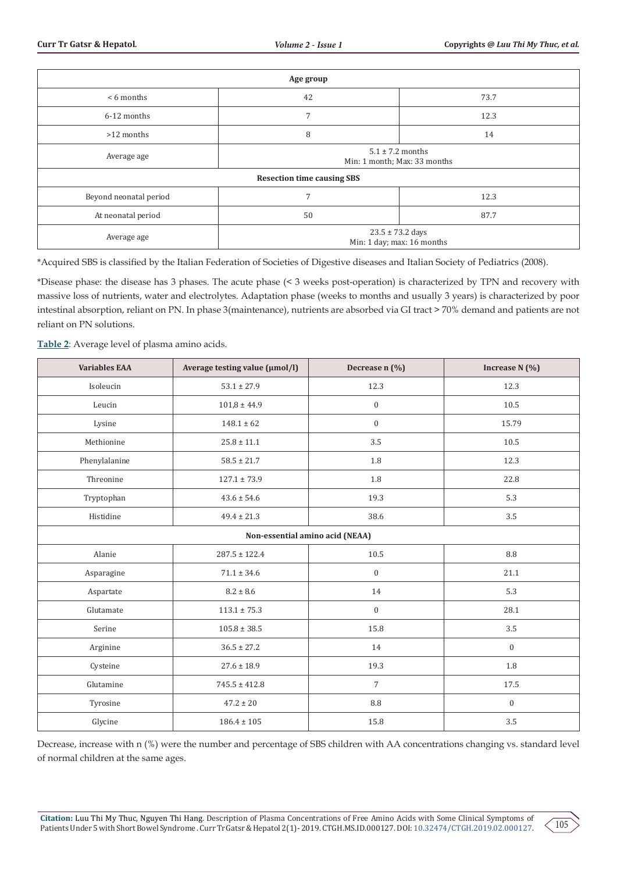| Age group                         |                                                      |      |  |
|-----------------------------------|------------------------------------------------------|------|--|
| < 6 months                        | 42<br>73.7                                           |      |  |
| 6-12 months                       | 7                                                    | 12.3 |  |
| >12 months                        | 8                                                    | 14   |  |
| Average age                       | $5.1 \pm 7.2$ months<br>Min: 1 month; Max: 33 months |      |  |
| <b>Resection time causing SBS</b> |                                                      |      |  |
| Beyond neonatal period            | 7                                                    | 12.3 |  |
| At neonatal period                | 50                                                   | 87.7 |  |
| Average age                       | $23.5 \pm 73.2$ days<br>Min: 1 day; max: 16 months   |      |  |

\*Acquired SBS is classified by the Italian Federation of Societies of Digestive diseases and Italian Society of Pediatrics (2008).

\*Disease phase: the disease has 3 phases. The acute phase (< 3 weeks post-operation) is characterized by TPN and recovery with massive loss of nutrients, water and electrolytes. Adaptation phase (weeks to months and usually 3 years) is characterized by poor intestinal absorption, reliant on PN. In phase 3(maintenance), nutrients are absorbed via GI tract > 70% demand and patients are not reliant on PN solutions.

**Table 2**: Average level of plasma amino acids.

| <b>Variables EAA</b>            | Average testing value (µmol/l) | Decrease n (%)   | Increase N (%) |
|---------------------------------|--------------------------------|------------------|----------------|
| Isoleucin                       | $53.1 \pm 27.9$                | 12.3             | 12.3           |
| Leucin                          | $101,8 \pm 44.9$               | $\boldsymbol{0}$ | 10.5           |
| Lysine                          | $148.1 \pm 62$                 | $\boldsymbol{0}$ | 15.79          |
| Methionine                      | $25.8 \pm 11.1$                | 3.5              | $10.5\,$       |
| Phenylalanine                   | $58.5 \pm 21.7$                | 1.8              | 12.3           |
| Threonine                       | $127.1 \pm 73.9$               | 1.8              | 22.8           |
| Tryptophan                      | $43.6 \pm 54.6$                | 19.3             | 5.3            |
| Histidine                       | $49.4 \pm 21.3$                | 38.6             | $3.5\,$        |
| Non-essential amino acid (NEAA) |                                |                  |                |
| Alanie                          | $287.5 \pm 122.4$              | 10.5             | $\ \, 8.8$     |
| Asparagine                      | $71.1 \pm 34.6$                | $\boldsymbol{0}$ | 21.1           |
| Aspartate                       | $8.2 \pm 8.6$                  | 14               | 5.3            |
| Glutamate                       | $113.1 \pm 75.3$               | $\boldsymbol{0}$ | 28.1           |
| Serine                          | $105.8 \pm 38.5$               | 15.8             | 3.5            |
| Arginine                        | $36.5 \pm 27.2$                | 14               | $\mathbf{0}$   |
| Cysteine                        | $27.6 \pm 18.9$                | 19.3             | 1.8            |
| Glutamine                       | $745.5 \pm 412.8$              | $\overline{7}$   | 17.5           |
| Tyrosine                        | $47.2 \pm 20$                  | $\ \, 8.8$       | $\mathbf{0}$   |
| Glycine                         | $186.4 \pm 105$                | 15.8             | 3.5            |

Decrease, increase with n (%) were the number and percentage of SBS children with AA concentrations changing vs. standard level of normal children at the same ages.

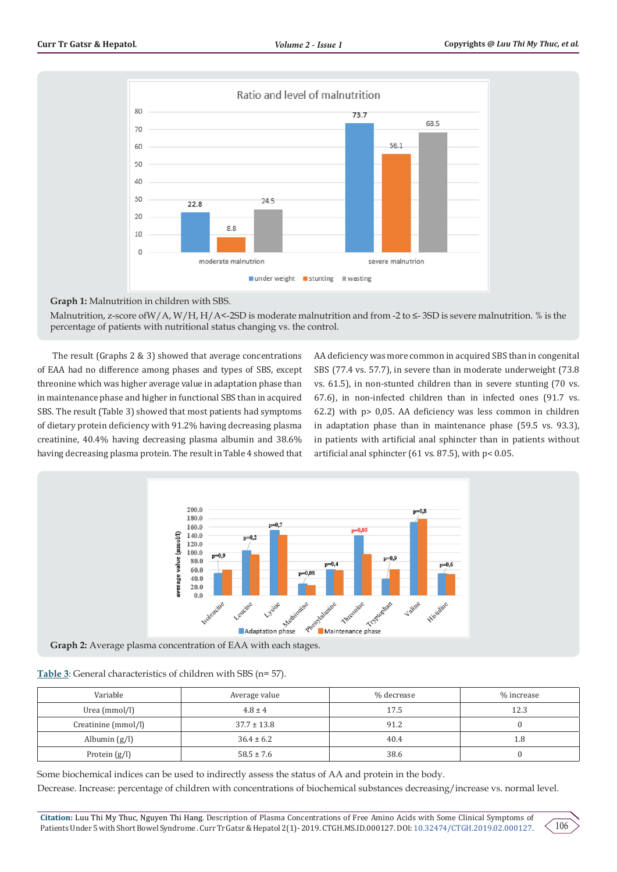

## **Graph 1:** Malnutrition in children with SBS.

Malnutrition, z-score of W/A, W/H, H/A<-2SD is moderate malnutrition and from -2 to  $\leq$ -3SD is severe malnutrition. % is the percentage of patients with nutritional status changing vs. the control.

The result (Graphs 2 & 3) showed that average concentrations of EAA had no difference among phases and types of SBS, except threonine which was higher average value in adaptation phase than in maintenance phase and higher in functional SBS than in acquired SBS. The result (Table 3) showed that most patients had symptoms of dietary protein deficiency with 91.2% having decreasing plasma creatinine, 40.4% having decreasing plasma albumin and 38.6% having decreasing plasma protein. The result in Table 4 showed that AA deficiency was more common in acquired SBS than in congenital SBS (77.4 vs. 57.7), in severe than in moderate underweight (73.8 vs. 61.5), in non-stunted children than in severe stunting (70 vs. 67.6), in non-infected children than in infected ones (91.7 vs. 62.2) with p> 0,05. AA deficiency was less common in children in adaptation phase than in maintenance phase (59.5 vs. 93.3), in patients with artificial anal sphincter than in patients without artificial anal sphincter (61 vs. 87.5), with p< 0.05.



|  | <b>Table 3:</b> General characteristics of children with SBS ( $n = 57$ ). |
|--|----------------------------------------------------------------------------|
|  |                                                                            |

| Variable            | Average value   | % decrease | % increase |
|---------------------|-----------------|------------|------------|
| Urea (mmol/l)       | $4.8 \pm 4$     | 17.5       | 12.3       |
| Creatinine (mmol/l) | $37.7 \pm 13.8$ | 91.2       |            |
| Albumin $(g/l)$     | $36.4 \pm 6.2$  | 40.4       | 1.8        |
| Protein $(g/l)$     | $58.5 \pm 7.6$  | 38.6       |            |

Some biochemical indices can be used to indirectly assess the status of AA and protein in the body.

Decrease. Increase: percentage of children with concentrations of biochemical substances decreasing/increase vs. normal level.

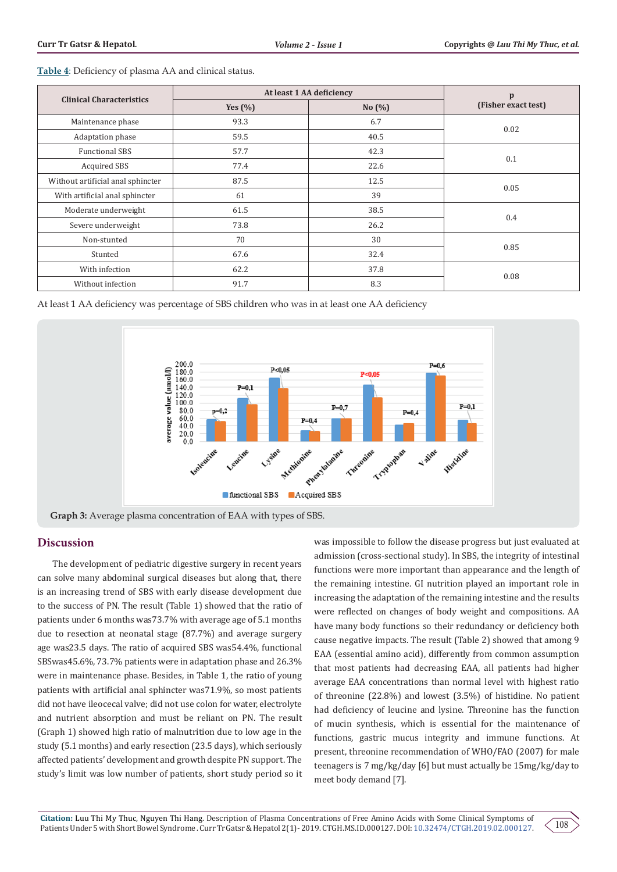**Table 4**: Deficiency of plasma AA and clinical status.

|                                   | At least 1 AA deficiency |           | p                   |
|-----------------------------------|--------------------------|-----------|---------------------|
| <b>Clinical Characteristics</b>   | Yes $(\% )$              | No $(\%)$ | (Fisher exact test) |
| Maintenance phase                 | 93.3                     | 6.7       | 0.02                |
| Adaptation phase                  | 59.5                     | 40.5      |                     |
| <b>Functional SBS</b>             | 57.7                     | 42.3      | 0.1                 |
| Acquired SBS                      | 77.4                     | 22.6      |                     |
| Without artificial anal sphincter | 87.5                     | 12.5      | 0.05                |
| With artificial anal sphincter    | 61                       | 39        |                     |
| Moderate underweight              | 61.5                     | 38.5      | 0.4                 |
| Severe underweight                | 73.8                     | 26.2      |                     |
| Non-stunted                       | 70                       | 30        | 0.85                |
| Stunted                           | 67.6                     | 32.4      |                     |
| With infection                    | 62.2                     | 37.8      | 0.08                |
| Without infection                 | 91.7                     | 8.3       |                     |

At least 1 AA deficiency was percentage of SBS children who was in at least one AA deficiency



## **Discussion**

The development of pediatric digestive surgery in recent years can solve many abdominal surgical diseases but along that, there is an increasing trend of SBS with early disease development due to the success of PN. The result (Table 1) showed that the ratio of patients under 6 months was73.7% with average age of 5.1 months due to resection at neonatal stage (87.7%) and average surgery age was23.5 days. The ratio of acquired SBS was54.4%, functional SBSwas45.6%, 73.7% patients were in adaptation phase and 26.3% were in maintenance phase. Besides, in Table 1, the ratio of young patients with artificial anal sphincter was71.9%, so most patients did not have ileocecal valve; did not use colon for water, electrolyte and nutrient absorption and must be reliant on PN. The result (Graph 1) showed high ratio of malnutrition due to low age in the study (5.1 months) and early resection (23.5 days), which seriously affected patients' development and growth despite PN support. The study's limit was low number of patients, short study period so it

was impossible to follow the disease progress but just evaluated at admission (cross-sectional study). In SBS, the integrity of intestinal functions were more important than appearance and the length of the remaining intestine. GI nutrition played an important role in increasing the adaptation of the remaining intestine and the results were reflected on changes of body weight and compositions. AA have many body functions so their redundancy or deficiency both cause negative impacts. The result (Table 2) showed that among 9 EAA (essential amino acid), differently from common assumption that most patients had decreasing EAA, all patients had higher average EAA concentrations than normal level with highest ratio of threonine (22.8%) and lowest (3.5%) of histidine. No patient had deficiency of leucine and lysine. Threonine has the function of mucin synthesis, which is essential for the maintenance of functions, gastric mucus integrity and immune functions. At present, threonine recommendation of WHO/FAO (2007) for male teenagers is 7 mg/kg/day [6] but must actually be 15mg/kg/day to meet body demand [7].

108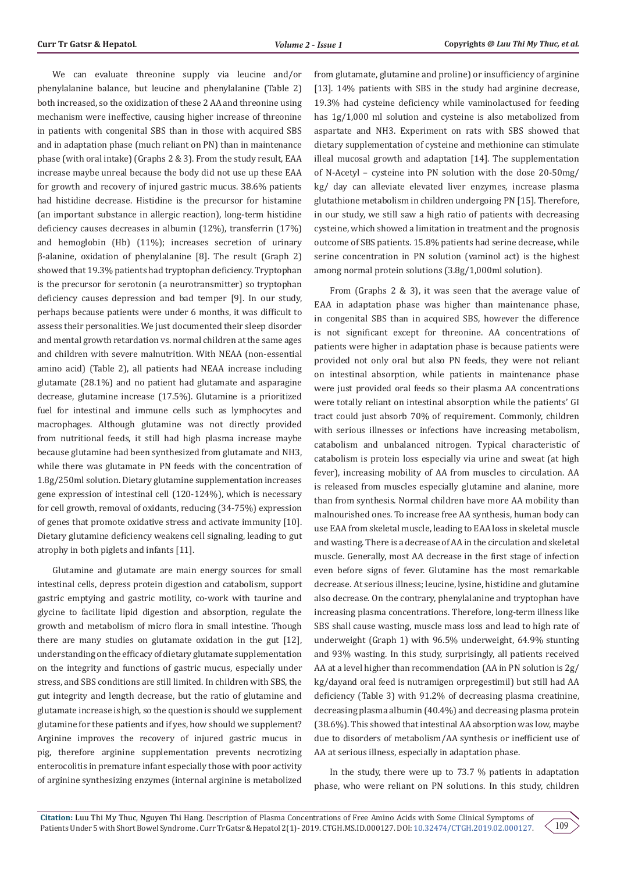We can evaluate threonine supply via leucine and/or phenylalanine balance, but leucine and phenylalanine (Table 2) both increased, so the oxidization of these 2 AA and threonine using mechanism were ineffective, causing higher increase of threonine in patients with congenital SBS than in those with acquired SBS and in adaptation phase (much reliant on PN) than in maintenance phase (with oral intake) (Graphs 2 & 3). From the study result, EAA increase maybe unreal because the body did not use up these EAA for growth and recovery of injured gastric mucus. 38.6% patients had histidine decrease. Histidine is the precursor for histamine (an important substance in allergic reaction), long-term histidine deficiency causes decreases in albumin (12%), transferrin (17%) and hemoglobin (Hb) (11%); increases secretion of urinary β-alanine, oxidation of phenylalanine [8]. The result (Graph 2) showed that 19.3% patients had tryptophan deficiency. Tryptophan is the precursor for serotonin (a neurotransmitter) so tryptophan deficiency causes depression and bad temper [9]. In our study, perhaps because patients were under 6 months, it was difficult to assess their personalities. We just documented their sleep disorder and mental growth retardation vs. normal children at the same ages and children with severe malnutrition. With NEAA (non-essential amino acid) (Table 2), all patients had NEAA increase including glutamate (28.1%) and no patient had glutamate and asparagine decrease, glutamine increase (17.5%). Glutamine is a prioritized fuel for intestinal and immune cells such as lymphocytes and macrophages. Although glutamine was not directly provided from nutritional feeds, it still had high plasma increase maybe because glutamine had been synthesized from glutamate and NH3, while there was glutamate in PN feeds with the concentration of 1.8g/250ml solution. Dietary glutamine supplementation increases gene expression of intestinal cell (120-124%), which is necessary for cell growth, removal of oxidants, reducing (34-75%) expression of genes that promote oxidative stress and activate immunity [10]. Dietary glutamine deficiency weakens cell signaling, leading to gut atrophy in both piglets and infants [11].

Glutamine and glutamate are main energy sources for small intestinal cells, depress protein digestion and catabolism, support gastric emptying and gastric motility, co-work with taurine and glycine to facilitate lipid digestion and absorption, regulate the growth and metabolism of micro flora in small intestine. Though there are many studies on glutamate oxidation in the gut [12], understanding on the efficacy of dietary glutamate supplementation on the integrity and functions of gastric mucus, especially under stress, and SBS conditions are still limited. In children with SBS, the gut integrity and length decrease, but the ratio of glutamine and glutamate increase is high, so the question is should we supplement glutamine for these patients and if yes, how should we supplement? Arginine improves the recovery of injured gastric mucus in pig, therefore arginine supplementation prevents necrotizing enterocolitis in premature infant especially those with poor activity of arginine synthesizing enzymes (internal arginine is metabolized

from glutamate, glutamine and proline) or insufficiency of arginine [13]. 14% patients with SBS in the study had arginine decrease. 19.3% had cysteine deficiency while vaminolactused for feeding has 1g/1,000 ml solution and cysteine is also metabolized from aspartate and NH3. Experiment on rats with SBS showed that dietary supplementation of cysteine and methionine can stimulate illeal mucosal growth and adaptation [14]. The supplementation of N-Acetyl – cysteine into PN solution with the dose 20-50mg/ kg/ day can alleviate elevated liver enzymes, increase plasma glutathione metabolism in children undergoing PN [15]. Therefore, in our study, we still saw a high ratio of patients with decreasing cysteine, which showed a limitation in treatment and the prognosis outcome of SBS patients. 15.8% patients had serine decrease, while serine concentration in PN solution (vaminol act) is the highest among normal protein solutions (3.8g/1,000ml solution).

From (Graphs 2 & 3), it was seen that the average value of EAA in adaptation phase was higher than maintenance phase, in congenital SBS than in acquired SBS, however the difference is not significant except for threonine. AA concentrations of patients were higher in adaptation phase is because patients were provided not only oral but also PN feeds, they were not reliant on intestinal absorption, while patients in maintenance phase were just provided oral feeds so their plasma AA concentrations were totally reliant on intestinal absorption while the patients' GI tract could just absorb 70% of requirement. Commonly, children with serious illnesses or infections have increasing metabolism, catabolism and unbalanced nitrogen. Typical characteristic of catabolism is protein loss especially via urine and sweat (at high fever), increasing mobility of AA from muscles to circulation. AA is released from muscles especially glutamine and alanine, more than from synthesis. Normal children have more AA mobility than malnourished ones. To increase free AA synthesis, human body can use EAA from skeletal muscle, leading to EAA loss in skeletal muscle and wasting. There is a decrease of AA in the circulation and skeletal muscle. Generally, most AA decrease in the first stage of infection even before signs of fever. Glutamine has the most remarkable decrease. At serious illness; leucine, lysine, histidine and glutamine also decrease. On the contrary, phenylalanine and tryptophan have increasing plasma concentrations. Therefore, long-term illness like SBS shall cause wasting, muscle mass loss and lead to high rate of underweight (Graph 1) with 96.5% underweight, 64.9% stunting and 93% wasting. In this study, surprisingly, all patients received AA at a level higher than recommendation (AA in PN solution is 2g/ kg/dayand oral feed is nutramigen orpregestimil) but still had AA deficiency (Table 3) with 91.2% of decreasing plasma creatinine, decreasing plasma albumin (40.4%) and decreasing plasma protein (38.6%). This showed that intestinal AA absorption was low, maybe due to disorders of metabolism/AA synthesis or inefficient use of AA at serious illness, especially in adaptation phase.

In the study, there were up to 73.7 % patients in adaptation phase, who were reliant on PN solutions. In this study, children

109